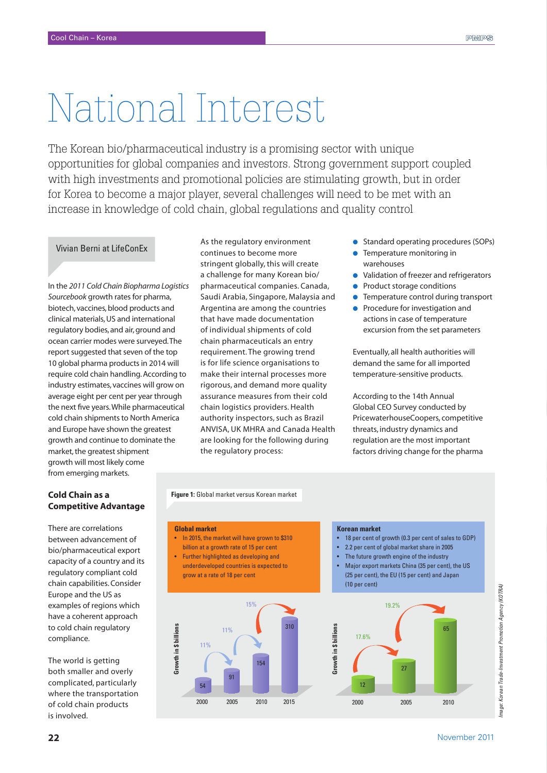# National Interest

The Korean bio/pharmaceutical industry is a promising sector with unique opportunities for global companies and investors. Strong government support coupled with high investments and promotional policies are stimulating growth, but in order for Korea to become a major player, several challenges will need to be met with an increase in knowledge of cold chain, global regulations and quality control

# Vivian Berni at LifeConEx

In the *2011 Cold Chain Biopharma Logistics Sourcebook* growth rates for pharma, biotech, vaccines, blood products and clinical materials, US and international regulatory bodies, and air, ground and ocean carrier modes were surveyed. The report suggested that seven of the top 10 global pharma products in 2014 will require cold chain handling. According to industry estimates, vaccines will grow on average eight per cent per year through the next five years. While pharmaceutical cold chain shipments to North America and Europe have shown the greatest growth and continue to dominate the market, the greatest shipment growth will most likely come from emerging markets.

As the regulatory environment continues to become more stringent globally, this will create a challenge for many Korean bio/ pharmaceutical companies. Canada, Saudi Arabia, Singapore, Malaysia and Argentina are among the countries that have made documentation of individual shipments of cold chain pharmaceuticals an entry requirement. The growing trend is for life science organisations to make their internal processes more rigorous, and demand more quality assurance measures from their cold chain logistics providers. Health authority inspectors, such as Brazil ANVISA, UK MHRA and Canada Health are looking for the following during the regulatory process:

- Standard operating procedures (SOPs)
- Temperature monitoring in warehouses
- Validation of freezer and refrigerators
- Product storage conditions
- Temperature control during transport
- Procedure for investigation and actions in case of temperature excursion from the set parameters

Eventually, all health authorities will demand the same for all imported temperature-sensitive products.

According to the 14th Annual Global CEO Survey conducted by PricewaterhouseCoopers, competitive threats, industry dynamics and regulation are the most important factors driving change for the pharma

## **Cold Chain as a Competitive Advantage**

There are correlations between advancement of bio/pharmaceutical export capacity of a country and its regulatory compliant cold chain capabilities. Consider Europe and the US as examples of regions which have a coherent approach to cold chain regulatory compliance.

The world is getting both smaller and overly complicated, particularly where the transportation of cold chain products is involved.

**Global market**

In 2015, the market will have grown to \$310 billion at a growth rate of 15 per cent

**Figure 1:** Global market versus Korean market

Further highlighted as developing and underdeveloped countries is expected to grow at a rate of 18 per cent



#### **Korean market**

- • 18 per cent of growth (0.3 per cent of sales to GDP)
- • 2.2 per cent of global market share in 2005
- The future growth engine of the industry
- Major export markets China (35 per cent), the US (25 per cent), the EU (15 per cent) and Japan (10 per cent)

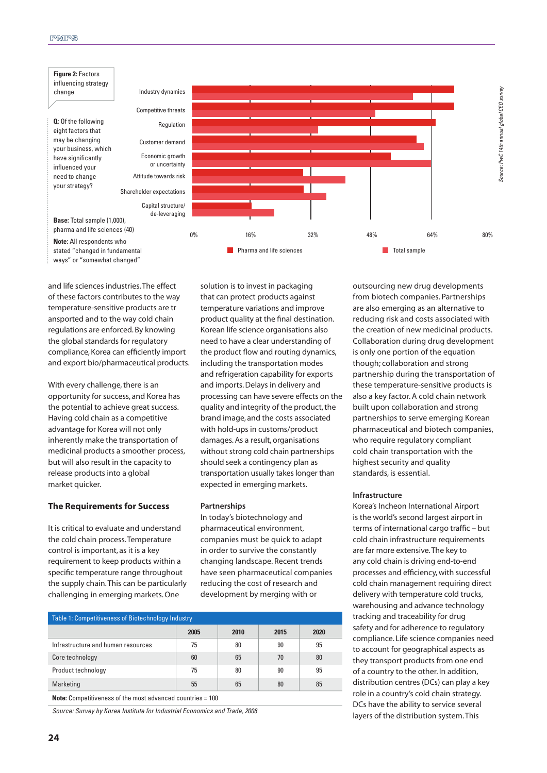

and life sciences industries. The effect of these factors contributes to the way temperature-sensitive products are tr ansported and to the way cold chain regulations are enforced. By knowing the global standards for regulatory compliance, Korea can efficiently import and export bio/pharmaceutical products.

With every challenge, there is an opportunity for success, and Korea has the potential to achieve great success. Having cold chain as a competitive advantage for Korea will not only inherently make the transportation of medicinal products a smoother process, but will also result in the capacity to release products into a global market quicker.

#### **The Requirements for Success**

It is critical to evaluate and understand the cold chain process. Temperature control is important, as it is a key requirement to keep products within a specific temperature range throughout the supply chain. This can be particularly challenging in emerging markets. One

solution is to invest in packaging that can protect products against temperature variations and improve product quality at the final destination. Korean life science organisations also need to have a clear understanding of the product flow and routing dynamics, including the transportation modes and refrigeration capability for exports and imports. Delays in delivery and processing can have severe effects on the quality and integrity of the product, the brand image, and the costs associated with hold-ups in customs/product damages. As a result, organisations without strong cold chain partnerships should seek a contingency plan as transportation usually takes longer than expected in emerging markets.

#### **Partnerships**

In today's biotechnology and pharmaceutical environment, companies must be quick to adapt in order to survive the constantly changing landscape. Recent trends have seen pharmaceutical companies reducing the cost of research and development by merging with or

| <b>Table 1: Competitiveness of Biotechnology Industry</b>         |      |      |      |      |
|-------------------------------------------------------------------|------|------|------|------|
|                                                                   | 2005 | 2010 | 2015 | 2020 |
| Infrastructure and human resources                                | 75   | 80   | 90   | 95   |
| Core technology                                                   | 60   | 65   | 70   | 80   |
| Product technology                                                | 75   | 80   | 90   | 95   |
| Marketing                                                         | 55   | 65   | 80   | 85   |
| <b>Note:</b> Competitiveness of the most advanced countries = 100 |      |      |      |      |

*Source: Survey by Korea Institute for Industrial Economics and Trade, 2006*

outsourcing new drug developments from biotech companies. Partnerships are also emerging as an alternative to reducing risk and costs associated with the creation of new medicinal products. Collaboration during drug development is only one portion of the equation though; collaboration and strong partnership during the transportation of these temperature-sensitive products is also a key factor. A cold chain network built upon collaboration and strong partnerships to serve emerging Korean pharmaceutical and biotech companies, who require regulatory compliant cold chain transportation with the highest security and quality standards, is essential.

#### **Infrastructure**

Korea's Incheon International Airport is the world's second largest airport in terms of international cargo traffic - but cold chain infrastructure requirements are far more extensive. The key to any cold chain is driving end-to-end processes and efficiency, with successful cold chain management requiring direct delivery with temperature cold trucks, warehousing and advance technology tracking and traceability for drug safety and for adherence to regulatory compliance. Life science companies need to account for geographical aspects as they transport products from one end of a country to the other. In addition, distribution centres (DCs) can play a key role in a country's cold chain strategy. DCs have the ability to service several layers of the distribution system. This